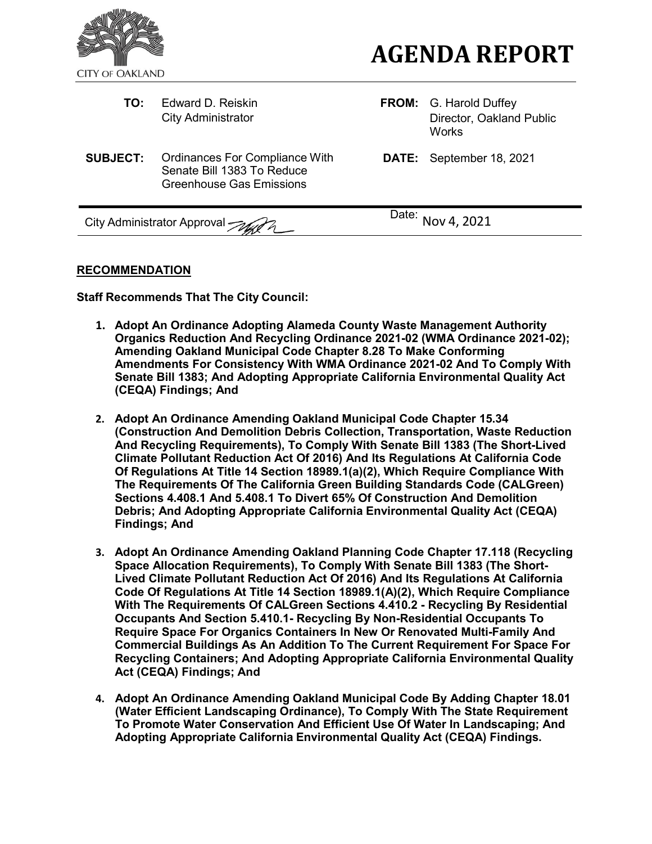

| TO:                                     | Edward D. Reiskin<br><b>City Administrator</b>                                                  |                   | <b>FROM:</b> G. Harold Duffey<br>Director, Oakland Public<br><b>Works</b> |
|-----------------------------------------|-------------------------------------------------------------------------------------------------|-------------------|---------------------------------------------------------------------------|
| <b>SUBJECT:</b>                         | Ordinances For Compliance With<br>Senate Bill 1383 To Reduce<br><b>Greenhouse Gas Emissions</b> |                   | <b>DATE:</b> September 18, 2021                                           |
| City Administrator Approval <i>Autr</i> |                                                                                                 | Date: Nov 4, 2021 |                                                                           |

## **RECOMMENDATION**

**Staff Recommends That The City Council:**

- **1. Adopt An Ordinance Adopting Alameda County Waste Management Authority Organics Reduction And Recycling Ordinance 2021-02 (WMA Ordinance 2021-02); Amending Oakland Municipal Code Chapter 8.28 To Make Conforming Amendments For Consistency With WMA Ordinance 2021-02 And To Comply With Senate Bill 1383; And Adopting Appropriate California Environmental Quality Act (CEQA) Findings; And**
- **2. Adopt An Ordinance Amending Oakland Municipal Code Chapter 15.34 (Construction And Demolition Debris Collection, Transportation, Waste Reduction And Recycling Requirements), To Comply With Senate Bill 1383 (The Short-Lived Climate Pollutant Reduction Act Of 2016) And Its Regulations At California Code Of Regulations At Title 14 Section 18989.1(a)(2), Which Require Compliance With The Requirements Of The California Green Building Standards Code (CALGreen) Sections 4.408.1 And 5.408.1 To Divert 65% Of Construction And Demolition Debris; And Adopting Appropriate California Environmental Quality Act (CEQA) Findings; And**
- **3. Adopt An Ordinance Amending Oakland Planning Code Chapter 17.118 (Recycling Space Allocation Requirements), To Comply With Senate Bill 1383 (The Short-Lived Climate Pollutant Reduction Act Of 2016) And Its Regulations At California Code Of Regulations At Title 14 Section 18989.1(A)(2), Which Require Compliance With The Requirements Of CALGreen Sections 4.410.2 - Recycling By Residential Occupants And Section 5.410.1- Recycling By Non-Residential Occupants To Require Space For Organics Containers In New Or Renovated Multi-Family And Commercial Buildings As An Addition To The Current Requirement For Space For Recycling Containers; And Adopting Appropriate California Environmental Quality Act (CEQA) Findings; And**
- **4. Adopt An Ordinance Amending Oakland Municipal Code By Adding Chapter 18.01 (Water Efficient Landscaping Ordinance), To Comply With The State Requirement To Promote Water Conservation And Efficient Use Of Water In Landscaping; And Adopting Appropriate California Environmental Quality Act (CEQA) Findings.**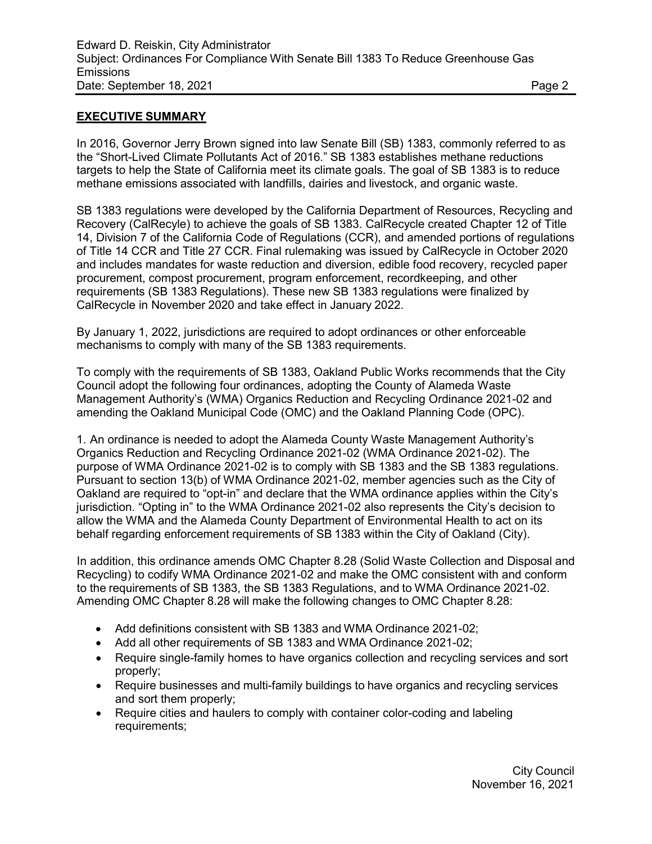## **EXECUTIVE SUMMARY**

In 2016, Governor Jerry Brown signed into law Senate Bill (SB) 1383, commonly referred to as the "Short-Lived Climate Pollutants Act of 2016." SB 1383 establishes methane reductions targets to help the State of California meet its climate goals. The goal of SB 1383 is to reduce methane emissions associated with landfills, dairies and livestock, and organic waste.

SB 1383 regulations were developed by the California Department of Resources, Recycling and Recovery (CalRecyle) to achieve the goals of SB 1383. CalRecycle created Chapter 12 of Title 14, Division 7 of the California Code of Regulations (CCR), and amended portions of regulations of Title 14 CCR and Title 27 CCR. Final rulemaking was issued by CalRecycle in October 2020 and includes mandates for waste reduction and diversion, edible food recovery, recycled paper procurement, compost procurement, program enforcement, recordkeeping, and other requirements (SB 1383 Regulations). These new SB 1383 regulations were finalized by CalRecycle in November 2020 and take effect in January 2022.

By January 1, 2022, jurisdictions are required to adopt ordinances or other enforceable mechanisms to comply with many of the SB 1383 requirements.

To comply with the requirements of SB 1383, Oakland Public Works recommends that the City Council adopt the following four ordinances, adopting the County of Alameda Waste Management Authority's (WMA) Organics Reduction and Recycling Ordinance 2021-02 and amending the Oakland Municipal Code (OMC) and the Oakland Planning Code (OPC).

1. An ordinance is needed to adopt the Alameda County Waste Management Authority's Organics Reduction and Recycling Ordinance 2021-02 (WMA Ordinance 2021-02). The purpose of WMA Ordinance 2021-02 is to comply with SB 1383 and the SB 1383 regulations. Pursuant to section 13(b) of WMA Ordinance 2021-02, member agencies such as the City of Oakland are required to "opt-in" and declare that the WMA ordinance applies within the City's jurisdiction. "Opting in" to the WMA Ordinance 2021-02 also represents the City's decision to allow the WMA and the Alameda County Department of Environmental Health to act on its behalf regarding enforcement requirements of SB 1383 within the City of Oakland (City).

In addition, this ordinance amends OMC Chapter 8.28 (Solid Waste Collection and Disposal and Recycling) to codify WMA Ordinance 2021-02 and make the OMC consistent with and conform to the requirements of SB 1383, the SB 1383 Regulations, and to WMA Ordinance 2021-02. Amending OMC Chapter 8.28 will make the following changes to OMC Chapter 8.28:

- Add definitions consistent with SB 1383 and WMA Ordinance 2021-02;
- Add all other requirements of SB 1383 and WMA Ordinance 2021-02;
- Require single-family homes to have organics collection and recycling services and sort properly;
- Require businesses and multi-family buildings to have organics and recycling services and sort them properly;
- Require cities and haulers to comply with container color-coding and labeling requirements;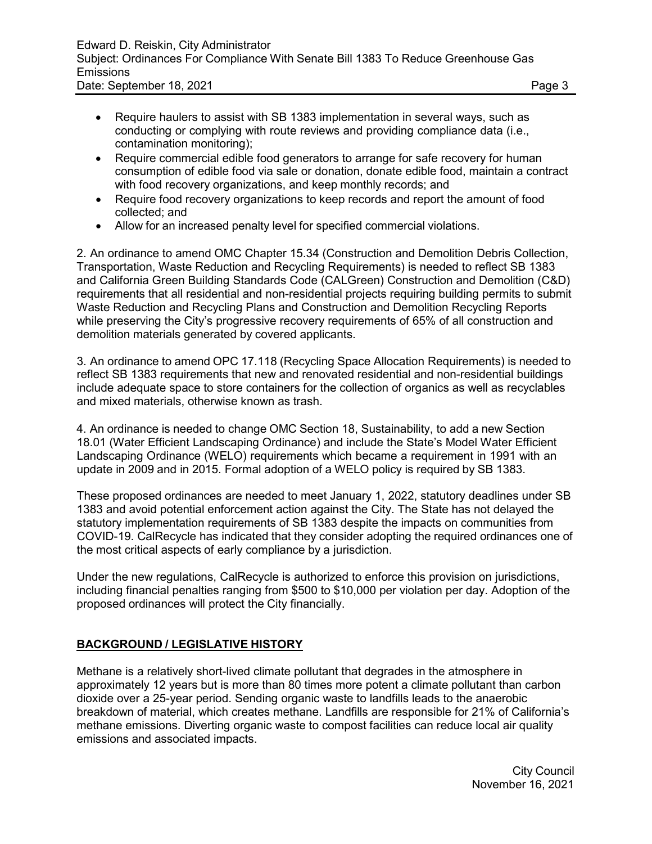- Require haulers to assist with SB 1383 implementation in several ways, such as conducting or complying with route reviews and providing compliance data (i.e., contamination monitoring);
- Require commercial edible food generators to arrange for safe recovery for human consumption of edible food via sale or donation, donate edible food, maintain a contract with food recovery organizations, and keep monthly records; and
- Require food recovery organizations to keep records and report the amount of food collected; and
- Allow for an increased penalty level for specified commercial violations.

2. An ordinance to amend OMC Chapter 15.34 (Construction and Demolition Debris Collection, Transportation, Waste Reduction and Recycling Requirements) is needed to reflect SB 1383 and California Green Building Standards Code (CALGreen) Construction and Demolition (C&D) requirements that all residential and non-residential projects requiring building permits to submit Waste Reduction and Recycling Plans and Construction and Demolition Recycling Reports while preserving the City's progressive recovery requirements of 65% of all construction and demolition materials generated by covered applicants.

3. An ordinance to amend OPC 17.118 (Recycling Space Allocation Requirements) is needed to reflect SB 1383 requirements that new and renovated residential and non-residential buildings include adequate space to store containers for the collection of organics as well as recyclables and mixed materials, otherwise known as trash.

4. An ordinance is needed to change OMC Section 18, Sustainability, to add a new Section 18.01 (Water Efficient Landscaping Ordinance) and include the State's Model Water Efficient Landscaping Ordinance (WELO) requirements which became a requirement in 1991 with an update in 2009 and in 2015. Formal adoption of a WELO policy is required by SB 1383.

These proposed ordinances are needed to meet January 1, 2022, statutory deadlines under SB 1383 and avoid potential enforcement action against the City. The State has not delayed the statutory implementation requirements of SB 1383 despite the impacts on communities from COVID-19. CalRecycle has indicated that they consider adopting the required ordinances one of the most critical aspects of early compliance by a jurisdiction.

Under the new regulations, CalRecycle is authorized to enforce this provision on jurisdictions, including financial penalties ranging from \$500 to \$10,000 per violation per day. Adoption of the proposed ordinances will protect the City financially.

# **BACKGROUND / LEGISLATIVE HISTORY**

Methane is a relatively short-lived climate pollutant that degrades in the atmosphere in approximately 12 years but is more than 80 times more potent a climate pollutant than carbon dioxide over a 25-year period. Sending organic waste to landfills leads to the anaerobic breakdown of material, which creates methane. Landfills are responsible for 21% of California's methane emissions. Diverting organic waste to compost facilities can reduce local air quality emissions and associated impacts.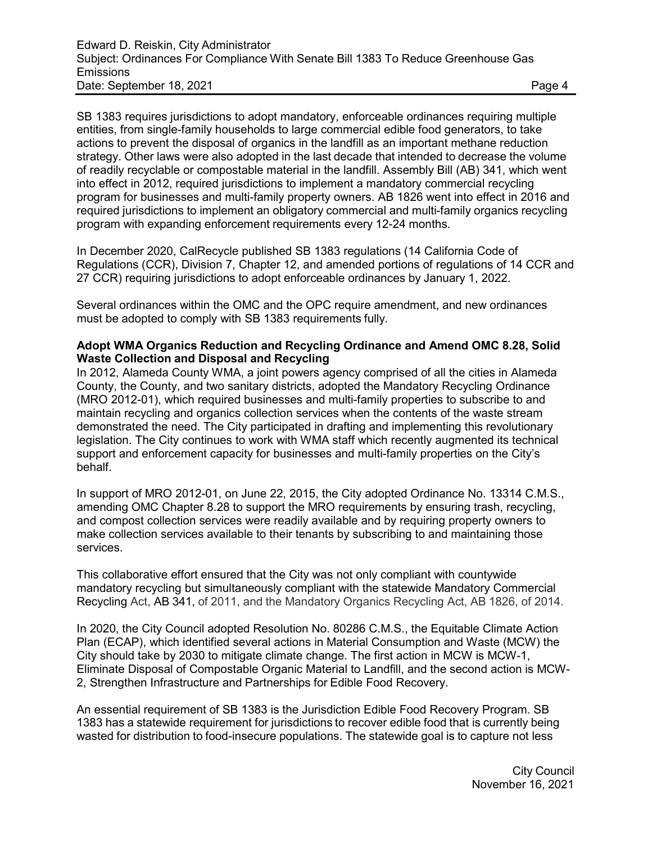SB 1383 requires jurisdictions to adopt mandatory, enforceable ordinances requiring multiple entities, from single-family households to large commercial edible food generators, to take actions to prevent the disposal of organics in the landfill as an important methane reduction strategy. Other laws were also adopted in the last decade that intended to decrease the volume of readily recyclable or compostable material in the landfill. Assembly Bill (AB) 341, which went into effect in 2012, required jurisdictions to implement a mandatory commercial recycling program for businesses and multi-family property owners. AB 1826 went into effect in 2016 and required jurisdictions to implement an obligatory commercial and multi-family organics recycling program with expanding enforcement requirements every 12-24 months.

In December 2020, CalRecycle published SB 1383 regulations (14 California Code of Regulations (CCR), Division 7, Chapter 12, and amended portions of regulations of 14 CCR and 27 CCR) requiring jurisdictions to adopt enforceable ordinances by January 1, 2022.

Several ordinances within the OMC and the OPC require amendment, and new ordinances must be adopted to comply with SB 1383 requirements fully.

#### **Adopt WMA Organics Reduction and Recycling Ordinance and Amend OMC 8.28, Solid Waste Collection and Disposal and Recycling**

In 2012, Alameda County WMA, a joint powers agency comprised of all the cities in Alameda County, the County, and two sanitary districts, adopted the Mandatory Recycling Ordinance (MRO 2012-01), which required businesses and multi-family properties to subscribe to and maintain recycling and organics collection services when the contents of the waste stream demonstrated the need. The City participated in drafting and implementing this revolutionary legislation. The City continues to work with WMA staff which recently augmented its technical support and enforcement capacity for businesses and multi-family properties on the City's behalf.

In support of MRO 2012-01, on June 22, 2015, the City adopted Ordinance No. 13314 C.M.S., amending OMC Chapter 8.28 to support the MRO requirements by ensuring trash, recycling, and compost collection services were readily available and by requiring property owners to make collection services available to their tenants by subscribing to and maintaining those services.

This collaborative effort ensured that the City was not only compliant with countywide mandatory recycling but simultaneously compliant with the statewide Mandatory Commercial Recycling Act, AB 341, of 2011, and the Mandatory Organics Recycling Act, AB 1826, of 2014.

In 2020, the City Council adopted Resolution No. 80286 C.M.S., the Equitable Climate Action Plan (ECAP), which identified several actions in Material Consumption and Waste (MCW) the City should take by 2030 to mitigate climate change. The first action in MCW is MCW-1, Eliminate Disposal of Compostable Organic Material to Landfill, and the second action is MCW-2, Strengthen Infrastructure and Partnerships for Edible Food Recovery.

An essential requirement of SB 1383 is the Jurisdiction Edible Food Recovery Program. SB 1383 has a statewide requirement for jurisdictions to recover edible food that is currently being wasted for distribution to food-insecure populations. The statewide goal is to capture not less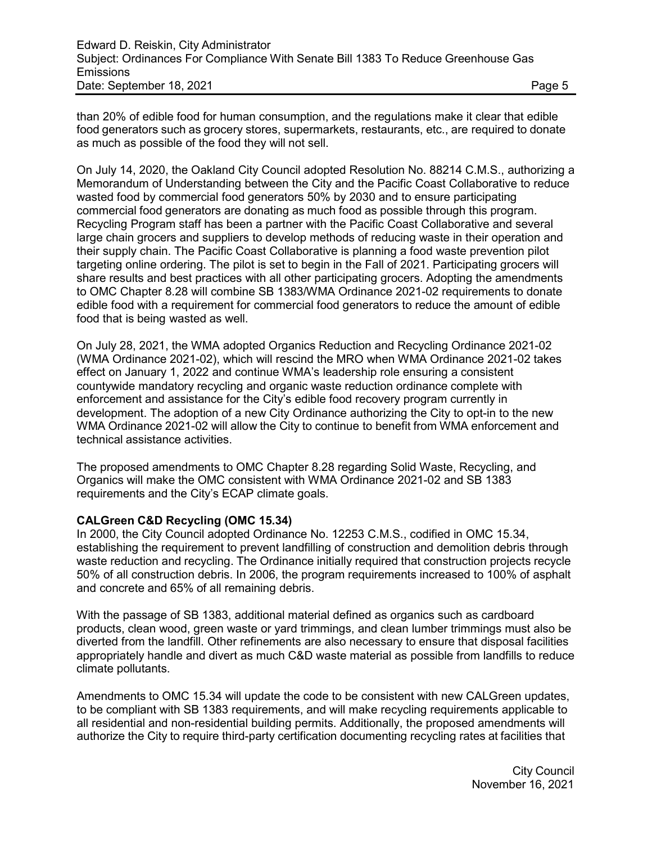than 20% of edible food for human consumption, and the regulations make it clear that edible food generators such as grocery stores, supermarkets, restaurants, etc., are required to donate as much as possible of the food they will not sell.

On July 14, 2020, the Oakland City Council adopted Resolution No. 88214 C.M.S., authorizing a Memorandum of Understanding between the City and the Pacific Coast Collaborative to reduce wasted food by commercial food generators 50% by 2030 and to ensure participating commercial food generators are donating as much food as possible through this program. Recycling Program staff has been a partner with the Pacific Coast Collaborative and several large chain grocers and suppliers to develop methods of reducing waste in their operation and their supply chain. The Pacific Coast Collaborative is planning a food waste prevention pilot targeting online ordering. The pilot is set to begin in the Fall of 2021. Participating grocers will share results and best practices with all other participating grocers. Adopting the amendments to OMC Chapter 8.28 will combine SB 1383/WMA Ordinance 2021-02 requirements to donate edible food with a requirement for commercial food generators to reduce the amount of edible food that is being wasted as well.

On July 28, 2021, the WMA adopted Organics Reduction and Recycling Ordinance 2021-02 (WMA Ordinance 2021-02), which will rescind the MRO when WMA Ordinance 2021-02 takes effect on January 1, 2022 and continue WMA's leadership role ensuring a consistent countywide mandatory recycling and organic waste reduction ordinance complete with enforcement and assistance for the City's edible food recovery program currently in development. The adoption of a new City Ordinance authorizing the City to opt-in to the new WMA Ordinance 2021-02 will allow the City to continue to benefit from WMA enforcement and technical assistance activities.

The proposed amendments to OMC Chapter 8.28 regarding Solid Waste, Recycling, and Organics will make the OMC consistent with WMA Ordinance 2021-02 and SB 1383 requirements and the City's ECAP climate goals.

#### **CALGreen C&D Recycling (OMC 15.34)**

In 2000, the City Council adopted Ordinance No. 12253 C.M.S., codified in OMC 15.34, establishing the requirement to prevent landfilling of construction and demolition debris through waste reduction and recycling. The Ordinance initially required that construction projects recycle 50% of all construction debris. In 2006, the program requirements increased to 100% of asphalt and concrete and 65% of all remaining debris.

With the passage of SB 1383, additional material defined as organics such as cardboard products, clean wood, green waste or yard trimmings, and clean lumber trimmings must also be diverted from the landfill. Other refinements are also necessary to ensure that disposal facilities appropriately handle and divert as much C&D waste material as possible from landfills to reduce climate pollutants.

Amendments to OMC 15.34 will update the code to be consistent with new CALGreen updates, to be compliant with SB 1383 requirements, and will make recycling requirements applicable to all residential and non-residential building permits. Additionally, the proposed amendments will authorize the City to require third-party certification documenting recycling rates at facilities that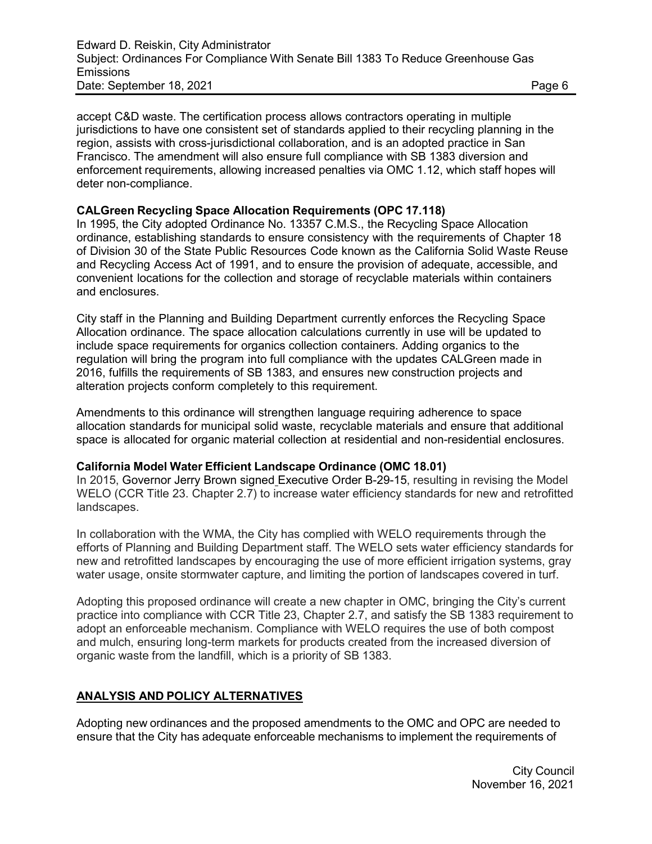accept C&D waste. The certification process allows contractors operating in multiple jurisdictions to have one consistent set of standards applied to their recycling planning in the region, assists with cross-jurisdictional collaboration, and is an adopted practice in San Francisco. The amendment will also ensure full compliance with SB 1383 diversion and enforcement requirements, allowing increased penalties via OMC 1.12, which staff hopes will deter non-compliance.

## **CALGreen Recycling Space Allocation Requirements (OPC 17.118)**

In 1995, the City adopted Ordinance No. 13357 C.M.S., the Recycling Space Allocation ordinance, establishing standards to ensure consistency with the requirements of Chapter 18 of Division 30 of the State Public Resources Code known as the California Solid Waste Reuse and Recycling Access Act of 1991, and to ensure the provision of adequate, accessible, and convenient locations for the collection and storage of recyclable materials within containers and enclosures.

City staff in the Planning and Building Department currently enforces the Recycling Space Allocation ordinance. The space allocation calculations currently in use will be updated to include space requirements for organics collection containers. Adding organics to the regulation will bring the program into full compliance with the updates CALGreen made in 2016, fulfills the requirements of SB 1383, and ensures new construction projects and alteration projects conform completely to this requirement.

Amendments to this ordinance will strengthen language requiring adherence to space allocation standards for municipal solid waste, recyclable materials and ensure that additional space is allocated for organic material collection at residential and non-residential enclosures.

#### **California Model Water Efficient Landscape Ordinance (OMC 18.01)**

In 2015, Governor Jerry Brown signed Executive Order B-29-15, resulting in revising the Model WELO (CCR Title 23. Chapter 2.7) to increase water efficiency standards for new and retrofitted landscapes.

In collaboration with the WMA, the City has complied with WELO requirements through the efforts of Planning and Building Department staff. The WELO sets water efficiency standards for new and retrofitted landscapes by encouraging the use of more efficient irrigation systems, gray water usage, onsite stormwater capture, and limiting the portion of landscapes covered in turf.

Adopting this proposed ordinance will create a new chapter in OMC, bringing the City's current practice into compliance with CCR Title 23, Chapter 2.7, and satisfy the SB 1383 requirement to adopt an enforceable mechanism. Compliance with WELO requires the use of both compost and mulch, ensuring long-term markets for products created from the increased diversion of organic waste from the landfill, which is a priority of SB 1383.

# **ANALYSIS AND POLICY ALTERNATIVES**

Adopting new ordinances and the proposed amendments to the OMC and OPC are needed to ensure that the City has adequate enforceable mechanisms to implement the requirements of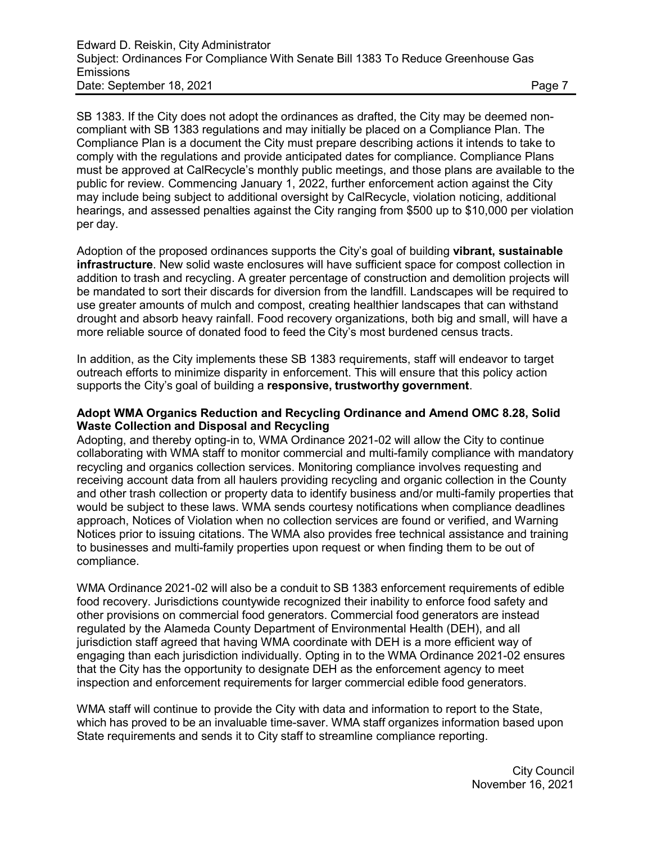SB 1383. If the City does not adopt the ordinances as drafted, the City may be deemed noncompliant with SB 1383 regulations and may initially be placed on a Compliance Plan. The Compliance Plan is a document the City must prepare describing actions it intends to take to comply with the regulations and provide anticipated dates for compliance. Compliance Plans must be approved at CalRecycle's monthly public meetings, and those plans are available to the public for review. Commencing January 1, 2022, further enforcement action against the City may include being subject to additional oversight by CalRecycle, violation noticing, additional hearings, and assessed penalties against the City ranging from \$500 up to \$10,000 per violation per day.

Adoption of the proposed ordinances supports the City's goal of building **vibrant, sustainable infrastructure**. New solid waste enclosures will have sufficient space for compost collection in addition to trash and recycling. A greater percentage of construction and demolition projects will be mandated to sort their discards for diversion from the landfill. Landscapes will be required to use greater amounts of mulch and compost, creating healthier landscapes that can withstand drought and absorb heavy rainfall. Food recovery organizations, both big and small, will have a more reliable source of donated food to feed the City's most burdened census tracts.

In addition, as the City implements these SB 1383 requirements, staff will endeavor to target outreach efforts to minimize disparity in enforcement. This will ensure that this policy action supports the City's goal of building a **responsive, trustworthy government**.

#### **Adopt WMA Organics Reduction and Recycling Ordinance and Amend OMC 8.28, Solid Waste Collection and Disposal and Recycling**

Adopting, and thereby opting-in to, WMA Ordinance 2021-02 will allow the City to continue collaborating with WMA staff to monitor commercial and multi-family compliance with mandatory recycling and organics collection services. Monitoring compliance involves requesting and receiving account data from all haulers providing recycling and organic collection in the County and other trash collection or property data to identify business and/or multi-family properties that would be subject to these laws. WMA sends courtesy notifications when compliance deadlines approach, Notices of Violation when no collection services are found or verified, and Warning Notices prior to issuing citations. The WMA also provides free technical assistance and training to businesses and multi-family properties upon request or when finding them to be out of compliance.

WMA Ordinance 2021-02 will also be a conduit to SB 1383 enforcement requirements of edible food recovery. Jurisdictions countywide recognized their inability to enforce food safety and other provisions on commercial food generators. Commercial food generators are instead regulated by the Alameda County Department of Environmental Health (DEH), and all jurisdiction staff agreed that having WMA coordinate with DEH is a more efficient way of engaging than each jurisdiction individually. Opting in to the WMA Ordinance 2021-02 ensures that the City has the opportunity to designate DEH as the enforcement agency to meet inspection and enforcement requirements for larger commercial edible food generators.

WMA staff will continue to provide the City with data and information to report to the State, which has proved to be an invaluable time-saver. WMA staff organizes information based upon State requirements and sends it to City staff to streamline compliance reporting.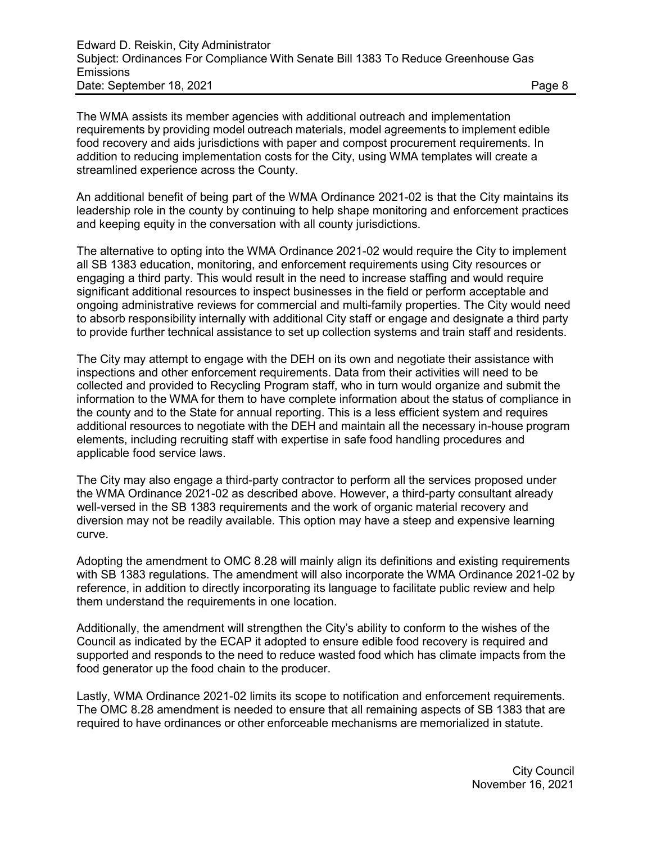The WMA assists its member agencies with additional outreach and implementation requirements by providing model outreach materials, model agreements to implement edible food recovery and aids jurisdictions with paper and compost procurement requirements. In addition to reducing implementation costs for the City, using WMA templates will create a streamlined experience across the County.

An additional benefit of being part of the WMA Ordinance 2021-02 is that the City maintains its leadership role in the county by continuing to help shape monitoring and enforcement practices and keeping equity in the conversation with all county jurisdictions.

The alternative to opting into the WMA Ordinance 2021-02 would require the City to implement all SB 1383 education, monitoring, and enforcement requirements using City resources or engaging a third party. This would result in the need to increase staffing and would require significant additional resources to inspect businesses in the field or perform acceptable and ongoing administrative reviews for commercial and multi-family properties. The City would need to absorb responsibility internally with additional City staff or engage and designate a third party to provide further technical assistance to set up collection systems and train staff and residents.

The City may attempt to engage with the DEH on its own and negotiate their assistance with inspections and other enforcement requirements. Data from their activities will need to be collected and provided to Recycling Program staff, who in turn would organize and submit the information to the WMA for them to have complete information about the status of compliance in the county and to the State for annual reporting. This is a less efficient system and requires additional resources to negotiate with the DEH and maintain all the necessary in-house program elements, including recruiting staff with expertise in safe food handling procedures and applicable food service laws.

The City may also engage a third-party contractor to perform all the services proposed under the WMA Ordinance 2021-02 as described above. However, a third-party consultant already well-versed in the SB 1383 requirements and the work of organic material recovery and diversion may not be readily available. This option may have a steep and expensive learning curve.

Adopting the amendment to OMC 8.28 will mainly align its definitions and existing requirements with SB 1383 regulations. The amendment will also incorporate the WMA Ordinance 2021-02 by reference, in addition to directly incorporating its language to facilitate public review and help them understand the requirements in one location.

Additionally, the amendment will strengthen the City's ability to conform to the wishes of the Council as indicated by the ECAP it adopted to ensure edible food recovery is required and supported and responds to the need to reduce wasted food which has climate impacts from the food generator up the food chain to the producer.

Lastly, WMA Ordinance 2021-02 limits its scope to notification and enforcement requirements. The OMC 8.28 amendment is needed to ensure that all remaining aspects of SB 1383 that are required to have ordinances or other enforceable mechanisms are memorialized in statute.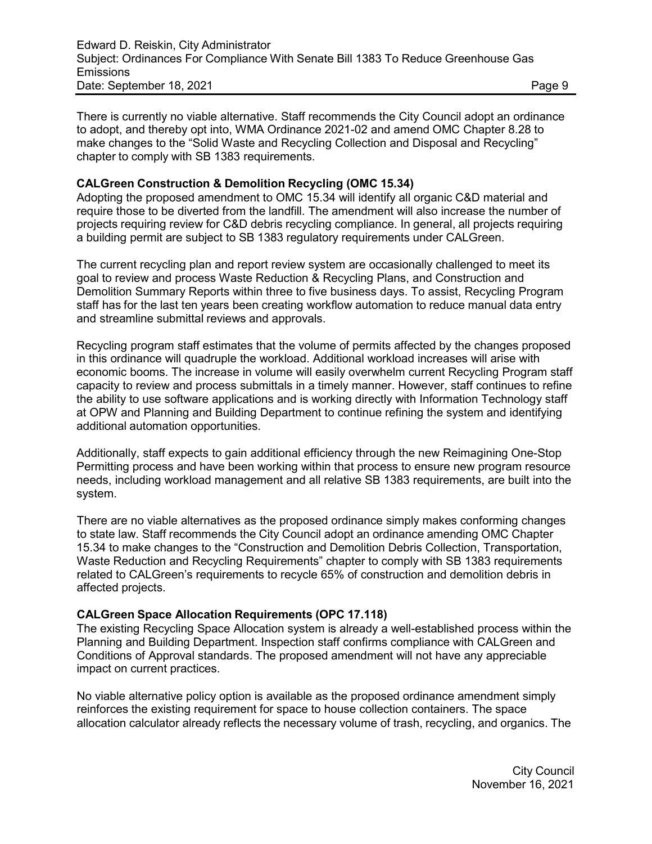There is currently no viable alternative. Staff recommends the City Council adopt an ordinance to adopt, and thereby opt into, WMA Ordinance 2021-02 and amend OMC Chapter 8.28 to make changes to the "Solid Waste and Recycling Collection and Disposal and Recycling" chapter to comply with SB 1383 requirements.

## **CALGreen Construction & Demolition Recycling (OMC 15.34)**

Adopting the proposed amendment to OMC 15.34 will identify all organic C&D material and require those to be diverted from the landfill. The amendment will also increase the number of projects requiring review for C&D debris recycling compliance. In general, all projects requiring a building permit are subject to SB 1383 regulatory requirements under CALGreen.

The current recycling plan and report review system are occasionally challenged to meet its goal to review and process Waste Reduction & Recycling Plans, and Construction and Demolition Summary Reports within three to five business days. To assist, Recycling Program staff has for the last ten years been creating workflow automation to reduce manual data entry and streamline submittal reviews and approvals.

Recycling program staff estimates that the volume of permits affected by the changes proposed in this ordinance will quadruple the workload. Additional workload increases will arise with economic booms. The increase in volume will easily overwhelm current Recycling Program staff capacity to review and process submittals in a timely manner. However, staff continues to refine the ability to use software applications and is working directly with Information Technology staff at OPW and Planning and Building Department to continue refining the system and identifying additional automation opportunities.

Additionally, staff expects to gain additional efficiency through the new Reimagining One-Stop Permitting process and have been working within that process to ensure new program resource needs, including workload management and all relative SB 1383 requirements, are built into the system.

There are no viable alternatives as the proposed ordinance simply makes conforming changes to state law. Staff recommends the City Council adopt an ordinance amending OMC Chapter 15.34 to make changes to the "Construction and Demolition Debris Collection, Transportation, Waste Reduction and Recycling Requirements" chapter to comply with SB 1383 requirements related to CALGreen's requirements to recycle 65% of construction and demolition debris in affected projects.

#### **CALGreen Space Allocation Requirements (OPC 17.118)**

The existing Recycling Space Allocation system is already a well-established process within the Planning and Building Department. Inspection staff confirms compliance with CALGreen and Conditions of Approval standards. The proposed amendment will not have any appreciable impact on current practices.

No viable alternative policy option is available as the proposed ordinance amendment simply reinforces the existing requirement for space to house collection containers. The space allocation calculator already reflects the necessary volume of trash, recycling, and organics. The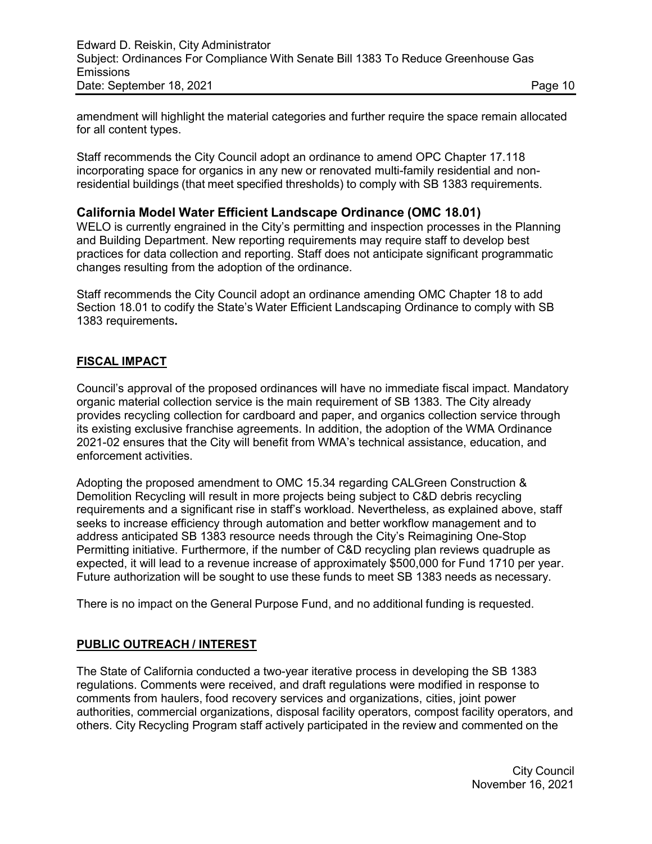amendment will highlight the material categories and further require the space remain allocated for all content types.

Staff recommends the City Council adopt an ordinance to amend OPC Chapter 17.118 incorporating space for organics in any new or renovated multi-family residential and nonresidential buildings (that meet specified thresholds) to comply with SB 1383 requirements.

# **California Model Water Efficient Landscape Ordinance (OMC 18.01)**

WELO is currently engrained in the City's permitting and inspection processes in the Planning and Building Department. New reporting requirements may require staff to develop best practices for data collection and reporting. Staff does not anticipate significant programmatic changes resulting from the adoption of the ordinance.

Staff recommends the City Council adopt an ordinance amending OMC Chapter 18 to add Section 18.01 to codify the State's Water Efficient Landscaping Ordinance to comply with SB 1383 requirements**.**

# **FISCAL IMPACT**

Council's approval of the proposed ordinances will have no immediate fiscal impact. Mandatory organic material collection service is the main requirement of SB 1383. The City already provides recycling collection for cardboard and paper, and organics collection service through its existing exclusive franchise agreements. In addition, the adoption of the WMA Ordinance 2021-02 ensures that the City will benefit from WMA's technical assistance, education, and enforcement activities.

Adopting the proposed amendment to OMC 15.34 regarding CALGreen Construction & Demolition Recycling will result in more projects being subject to C&D debris recycling requirements and a significant rise in staff's workload. Nevertheless, as explained above, staff seeks to increase efficiency through automation and better workflow management and to address anticipated SB 1383 resource needs through the City's Reimagining One-Stop Permitting initiative. Furthermore, if the number of C&D recycling plan reviews quadruple as expected, it will lead to a revenue increase of approximately \$500,000 for Fund 1710 per year. Future authorization will be sought to use these funds to meet SB 1383 needs as necessary.

There is no impact on the General Purpose Fund, and no additional funding is requested.

# **PUBLIC OUTREACH / INTEREST**

The State of California conducted a two-year iterative process in developing the SB 1383 regulations. Comments were received, and draft regulations were modified in response to comments from haulers, food recovery services and organizations, cities, joint power authorities, commercial organizations, disposal facility operators, compost facility operators, and others. City Recycling Program staff actively participated in the review and commented on the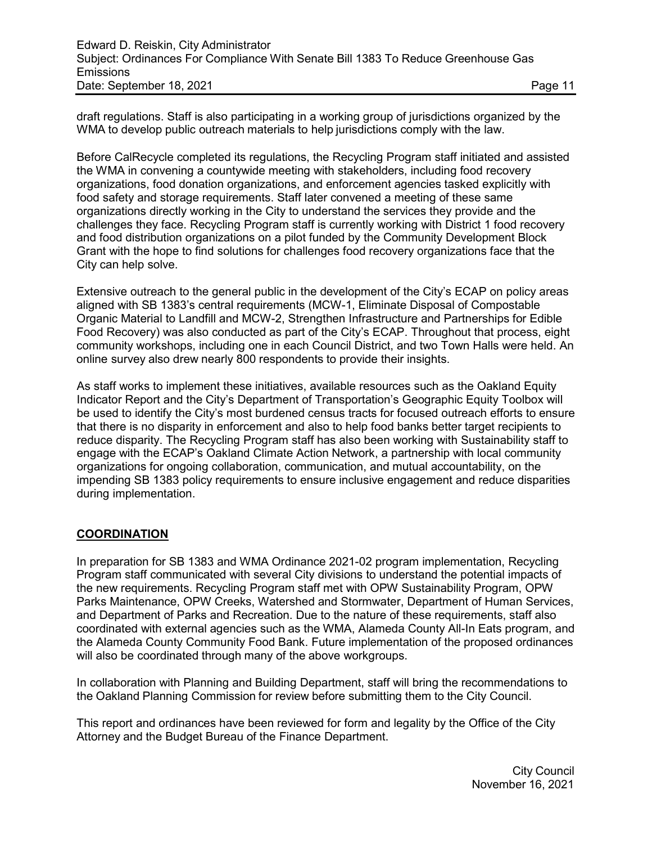draft regulations. Staff is also participating in a working group of jurisdictions organized by the WMA to develop public outreach materials to help jurisdictions comply with the law.

Before CalRecycle completed its regulations, the Recycling Program staff initiated and assisted the WMA in convening a countywide meeting with stakeholders, including food recovery organizations, food donation organizations, and enforcement agencies tasked explicitly with food safety and storage requirements. Staff later convened a meeting of these same organizations directly working in the City to understand the services they provide and the challenges they face. Recycling Program staff is currently working with District 1 food recovery and food distribution organizations on a pilot funded by the Community Development Block Grant with the hope to find solutions for challenges food recovery organizations face that the City can help solve.

Extensive outreach to the general public in the development of the City's ECAP on policy areas aligned with SB 1383's central requirements (MCW-1, Eliminate Disposal of Compostable Organic Material to Landfill and MCW-2, Strengthen Infrastructure and Partnerships for Edible Food Recovery) was also conducted as part of the City's ECAP. Throughout that process, eight community workshops, including one in each Council District, and two Town Halls were held. An online survey also drew nearly 800 respondents to provide their insights.

As staff works to implement these initiatives, available resources such as the Oakland Equity Indicator Report and the City's Department of Transportation's Geographic Equity Toolbox will be used to identify the City's most burdened census tracts for focused outreach efforts to ensure that there is no disparity in enforcement and also to help food banks better target recipients to reduce disparity. The Recycling Program staff has also been working with Sustainability staff to engage with the ECAP's Oakland Climate Action Network, a partnership with local community organizations for ongoing collaboration, communication, and mutual accountability, on the impending SB 1383 policy requirements to ensure inclusive engagement and reduce disparities during implementation.

# **COORDINATION**

In preparation for SB 1383 and WMA Ordinance 2021-02 program implementation, Recycling Program staff communicated with several City divisions to understand the potential impacts of the new requirements. Recycling Program staff met with OPW Sustainability Program, OPW Parks Maintenance, OPW Creeks, Watershed and Stormwater, Department of Human Services, and Department of Parks and Recreation. Due to the nature of these requirements, staff also coordinated with external agencies such as the WMA, Alameda County All-In Eats program, and the Alameda County Community Food Bank. Future implementation of the proposed ordinances will also be coordinated through many of the above workgroups.

In collaboration with Planning and Building Department, staff will bring the recommendations to the Oakland Planning Commission for review before submitting them to the City Council.

This report and ordinances have been reviewed for form and legality by the Office of the City Attorney and the Budget Bureau of the Finance Department.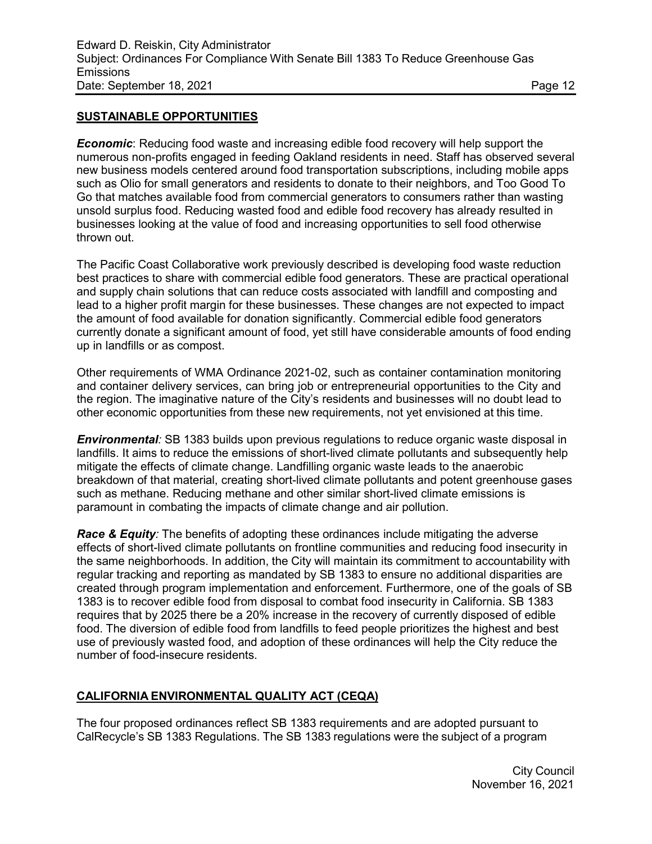#### **SUSTAINABLE OPPORTUNITIES**

*Economic*: Reducing food waste and increasing edible food recovery will help support the numerous non-profits engaged in feeding Oakland residents in need. Staff has observed several new business models centered around food transportation subscriptions, including mobile apps such as Olio for small generators and residents to donate to their neighbors, and Too Good To Go that matches available food from commercial generators to consumers rather than wasting unsold surplus food. Reducing wasted food and edible food recovery has already resulted in businesses looking at the value of food and increasing opportunities to sell food otherwise thrown out.

The Pacific Coast Collaborative work previously described is developing food waste reduction best practices to share with commercial edible food generators. These are practical operational and supply chain solutions that can reduce costs associated with landfill and composting and lead to a higher profit margin for these businesses. These changes are not expected to impact the amount of food available for donation significantly. Commercial edible food generators currently donate a significant amount of food, yet still have considerable amounts of food ending up in landfills or as compost.

Other requirements of WMA Ordinance 2021-02, such as container contamination monitoring and container delivery services, can bring job or entrepreneurial opportunities to the City and the region. The imaginative nature of the City's residents and businesses will no doubt lead to other economic opportunities from these new requirements, not yet envisioned at this time.

*Environmental:* SB 1383 builds upon previous regulations to reduce organic waste disposal in landfills. It aims to reduce the emissions of short-lived climate pollutants and subsequently help mitigate the effects of climate change. Landfilling organic waste leads to the anaerobic breakdown of that material, creating short-lived climate pollutants and potent greenhouse gases such as methane. Reducing methane and other similar short-lived climate emissions is paramount in combating the impacts of climate change and air pollution.

*Race & Equity:* The benefits of adopting these ordinances include mitigating the adverse effects of short-lived climate pollutants on frontline communities and reducing food insecurity in the same neighborhoods. In addition, the City will maintain its commitment to accountability with regular tracking and reporting as mandated by SB 1383 to ensure no additional disparities are created through program implementation and enforcement. Furthermore, one of the goals of SB 1383 is to recover edible food from disposal to combat food insecurity in California. SB 1383 requires that by 2025 there be a 20% increase in the recovery of currently disposed of edible food. The diversion of edible food from landfills to feed people prioritizes the highest and best use of previously wasted food, and adoption of these ordinances will help the City reduce the number of food-insecure residents.

# **CALIFORNIA ENVIRONMENTAL QUALITY ACT (CEQA)**

The four proposed ordinances reflect SB 1383 requirements and are adopted pursuant to CalRecycle's SB 1383 Regulations. The SB 1383 regulations were the subject of a program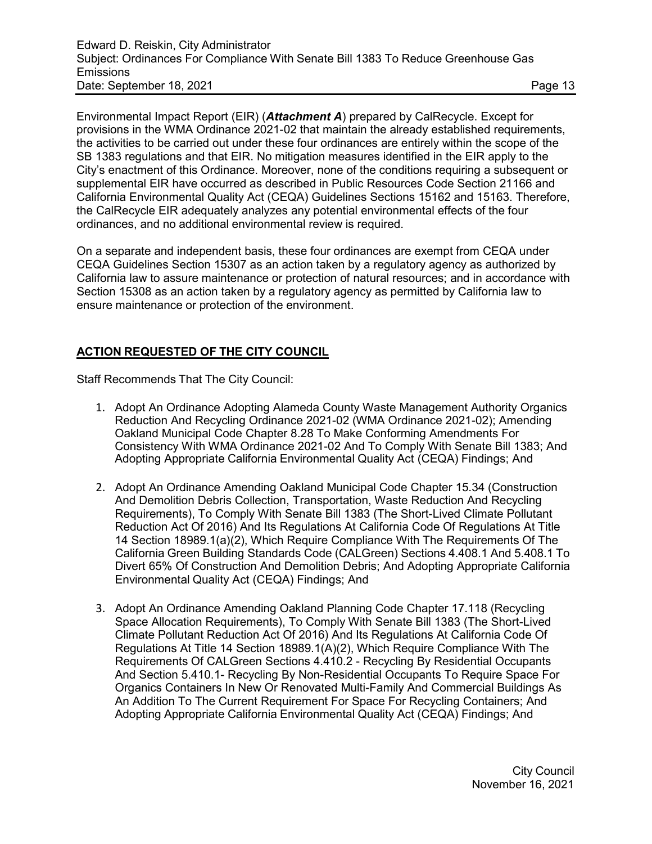Environmental Impact Report (EIR) (*Attachment A*) prepared by CalRecycle. Except for provisions in the WMA Ordinance 2021-02 that maintain the already established requirements, the activities to be carried out under these four ordinances are entirely within the scope of the SB 1383 regulations and that EIR. No mitigation measures identified in the EIR apply to the City's enactment of this Ordinance. Moreover, none of the conditions requiring a subsequent or supplemental EIR have occurred as described in Public Resources Code Section 21166 and California Environmental Quality Act (CEQA) Guidelines Sections 15162 and 15163. Therefore, the CalRecycle EIR adequately analyzes any potential environmental effects of the four ordinances, and no additional environmental review is required.

On a separate and independent basis, these four ordinances are exempt from CEQA under CEQA Guidelines Section 15307 as an action taken by a regulatory agency as authorized by California law to assure maintenance or protection of natural resources; and in accordance with Section 15308 as an action taken by a regulatory agency as permitted by California law to ensure maintenance or protection of the environment.

## **ACTION REQUESTED OF THE CITY COUNCIL**

Staff Recommends That The City Council:

- 1. Adopt An Ordinance Adopting Alameda County Waste Management Authority Organics Reduction And Recycling Ordinance 2021-02 (WMA Ordinance 2021-02); Amending Oakland Municipal Code Chapter 8.28 To Make Conforming Amendments For Consistency With WMA Ordinance 2021-02 And To Comply With Senate Bill 1383; And Adopting Appropriate California Environmental Quality Act (CEQA) Findings; And
- 2. Adopt An Ordinance Amending Oakland Municipal Code Chapter 15.34 (Construction And Demolition Debris Collection, Transportation, Waste Reduction And Recycling Requirements), To Comply With Senate Bill 1383 (The Short-Lived Climate Pollutant Reduction Act Of 2016) And Its Regulations At California Code Of Regulations At Title 14 Section 18989.1(a)(2), Which Require Compliance With The Requirements Of The California Green Building Standards Code (CALGreen) Sections 4.408.1 And 5.408.1 To Divert 65% Of Construction And Demolition Debris; And Adopting Appropriate California Environmental Quality Act (CEQA) Findings; And
- 3. Adopt An Ordinance Amending Oakland Planning Code Chapter 17.118 (Recycling Space Allocation Requirements), To Comply With Senate Bill 1383 (The Short-Lived Climate Pollutant Reduction Act Of 2016) And Its Regulations At California Code Of Regulations At Title 14 Section 18989.1(A)(2), Which Require Compliance With The Requirements Of CALGreen Sections 4.410.2 - Recycling By Residential Occupants And Section 5.410.1- Recycling By Non-Residential Occupants To Require Space For Organics Containers In New Or Renovated Multi-Family And Commercial Buildings As An Addition To The Current Requirement For Space For Recycling Containers; And Adopting Appropriate California Environmental Quality Act (CEQA) Findings; And